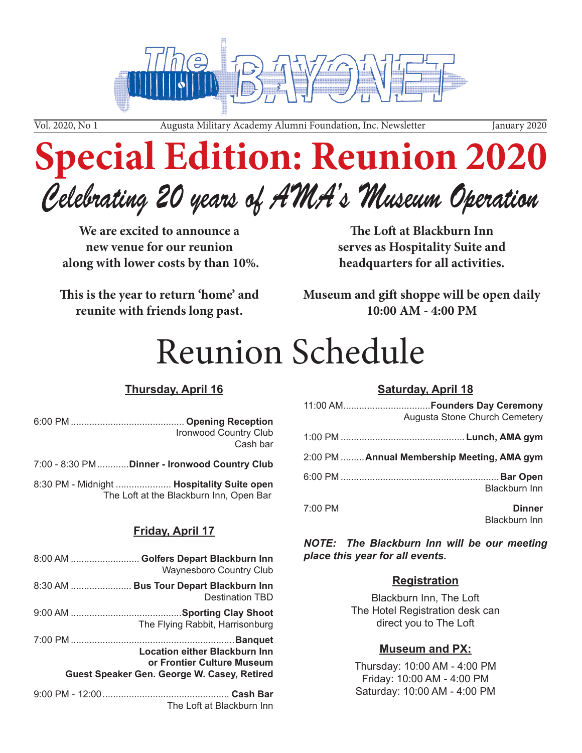

Vol. 2020, No 1 Augusta Military Academy Alumni Foundation, Inc. Newsletter January 2020

# **Special Edition: Reunion 2020**

## *Celebrating 20 years of AMA's Museum Operation*

**We are excited to announce a new venue for our reunion along with lower costs by than 10%.**

**This is the year to return 'home' and reunite with friends long past.**

**The Loft at Blackburn Inn serves as Hospitality Suite and headquarters for all activities.**

**Museum and gift shoppe will be open daily 10:00 AM - 4:00 PM** 

# Reunion Schedule

### **Thursday, April 16**

| Ironwood Country Club |
|-----------------------|
| Cash bar              |

7:00 - 8:30 PM............**Dinner - Ironwood Country Club**

8:30 PM - Midnight ..................... **Hospitality Suite open** The Loft at the Blackburn Inn, Open Bar

#### **Friday, April 17**

The Loft at Blackburn Inn

| 8:00 AM  Golfers Depart Blackburn Inn<br><b>Waynesboro Country Club</b>                                    |
|------------------------------------------------------------------------------------------------------------|
| 8:30 AM  Bus Tour Depart Blackburn Inn<br><b>Destination TBD</b>                                           |
| The Flying Rabbit, Harrisonburg                                                                            |
| Location either Blackburn Inn<br>or Frontier Culture Museum<br>Guest Speaker Gen. George W. Casey, Retired |
|                                                                                                            |

#### **Saturday, April 18**

| Augusta Stone Church Cemetery               |           |
|---------------------------------------------|-----------|
|                                             |           |
| 2:00 PM  Annual Membership Meeting, AMA gym |           |
| <b>Blackburn Inn</b>                        |           |
| <b>Dinner</b><br>Blackburn Inn              | $7:00$ PM |

*NOTE: The Blackburn Inn will be our meeting place this year for all events.*

#### **Registration**

Blackburn Inn, The Loft The Hotel Registration desk can direct you to The Loft

#### **Museum and PX:**

Thursday: 10:00 AM - 4:00 PM Friday: 10:00 AM - 4:00 PM Saturday: 10:00 AM - 4:00 PM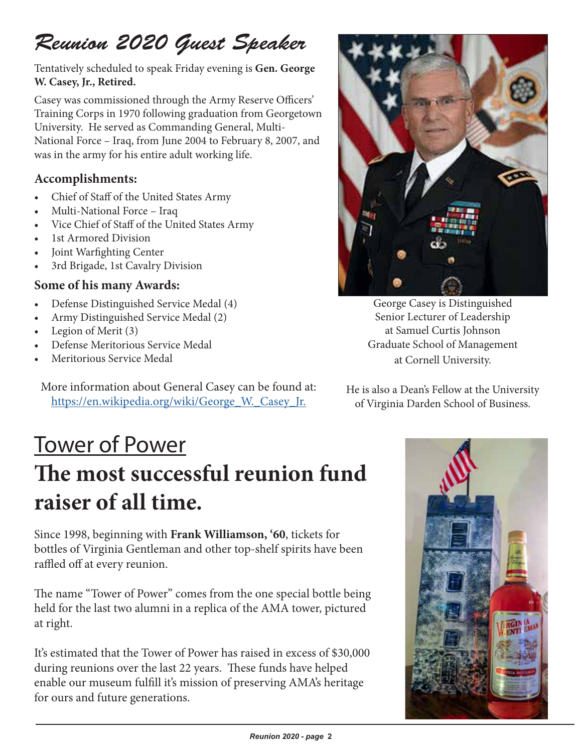### *Reunion 2020 Guest Speaker*

Tentatively scheduled to speak Friday evening is **Gen. George W. Casey, Jr., Retired.** 

Casey was commissioned through the Army Reserve Officers' Training Corps in 1970 following graduation from Georgetown University. He served as Commanding General, Multi-National Force – Iraq, from June 2004 to February 8, 2007, and was in the army for his entire adult working life.

### **Accomplishments:**

- Chief of Staff of the United States Army
- Multi-National Force Iraq
- Vice Chief of Staff of the United States Army
- 1st Armored Division
- Joint Warfighting Center
- 3rd Brigade, 1st Cavalry Division

#### **Some of his many Awards:**

- Defense Distinguished Service Medal (4)
- Army Distinguished Service Medal (2)
- Legion of Merit (3)
- Defense Meritorious Service Medal
- Meritorious Service Medal

More information about General Casey can be found at: [https://en.wikipedia.org/wiki/George\\_W.\\_Casey\\_Jr.](https://en.wikipedia.org/wiki/George_W._Casey_Jr.)



George Casey is Distinguished Senior Lecturer of Leadership at Samuel Curtis Johnson Graduate School of Management at Cornell University.

He is also a Dean's Fellow at the University of Virginia Darden School of Business.

### Tower of Power **The most successful reunion fund raiser of all time.**

Since 1998, beginning with **Frank Williamson, '60**, tickets for bottles of Virginia Gentleman and other top-shelf spirits have been raffled off at every reunion.

The name "Tower of Power" comes from the one special bottle being held for the last two alumni in a replica of the AMA tower, pictured at right.

It's estimated that the Tower of Power has raised in excess of \$30,000 during reunions over the last 22 years. These funds have helped enable our museum fulfill it's mission of preserving AMA's heritage for ours and future generations.

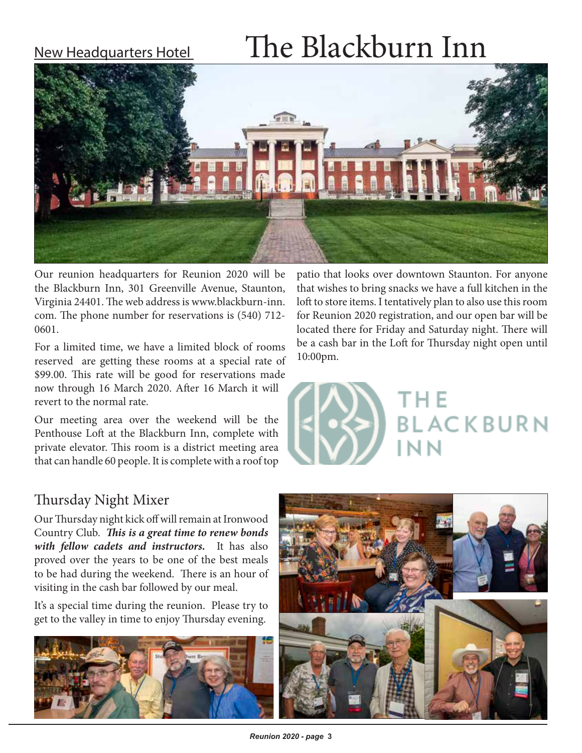# New Headquarters Hotel  $\qquad$  The Blackburn Inn



Our reunion headquarters for Reunion 2020 will be the Blackburn Inn, 301 Greenville Avenue, Staunton, Virginia 24401. The web address is www.blackburn-inn. com. The phone number for reservations is (540) 712- 0601.

For a limited time, we have a limited block of rooms reserved are getting these rooms at a special rate of \$99.00. This rate will be good for reservations made now through 16 March 2020. After 16 March it will revert to the normal rate.

Our meeting area over the weekend will be the Penthouse Loft at the Blackburn Inn, complete with private elevator. This room is a district meeting area that can handle 60 people. It is complete with a roof top patio that looks over downtown Staunton. For anyone that wishes to bring snacks we have a full kitchen in the loft to store items. I tentatively plan to also use this room for Reunion 2020 registration, and our open bar will be located there for Friday and Saturday night. There will be a cash bar in the Loft for Thursday night open until 10:00pm.



### Thursday Night Mixer

Our Thursday night kick off will remain at Ironwood Country Club. *This is a great time to renew bonds with fellow cadets and instructors.* It has also proved over the years to be one of the best meals to be had during the weekend. There is an hour of visiting in the cash bar followed by our meal.

It's a special time during the reunion. Please try to get to the valley in time to enjoy Thursday evening.